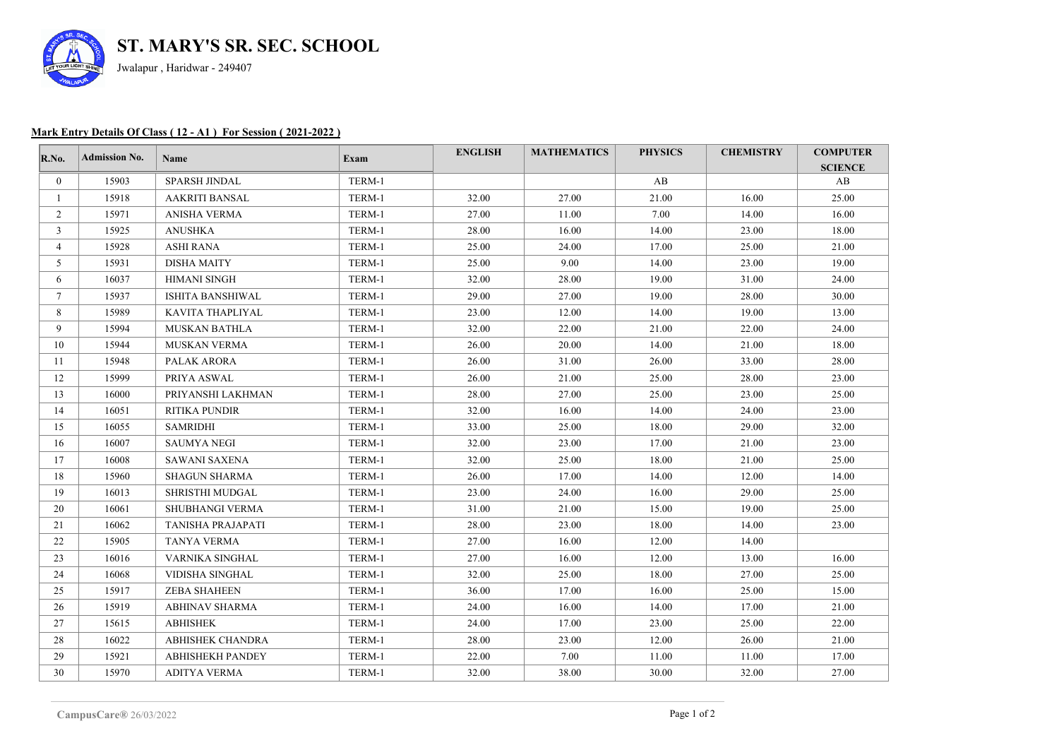

## **Mark Entry Details Of Class ( 12 - A1 ) For Session ( 2021-2022 )**

| R.No.          | <b>Admission No.</b> | Name                   | Exam   | <b>ENGLISH</b> | <b>MATHEMATICS</b> | <b>PHYSICS</b> | <b>CHEMISTRY</b> | <b>COMPUTER</b><br><b>SCIENCE</b> |
|----------------|----------------------|------------------------|--------|----------------|--------------------|----------------|------------------|-----------------------------------|
| $\mathbf{0}$   | 15903                | SPARSH JINDAL          | TERM-1 |                |                    | AB             |                  | AB                                |
| $\mathbf{1}$   | 15918                | <b>AAKRITI BANSAL</b>  | TERM-1 | 32.00          | 27.00              | 21.00          | 16.00            | 25.00                             |
| $\overline{2}$ | 15971                | ANISHA VERMA           | TERM-1 | 27.00          | 11.00              | 7.00           | 14.00            | 16.00                             |
| 3              | 15925                | ANUSHKA                | TERM-1 | 28.00          | 16.00              | 14.00          | 23.00            | 18.00                             |
| 4              | 15928                | ASHI RANA              | TERM-1 | 25.00          | 24.00              | 17.00          | 25.00            | 21.00                             |
| 5              | 15931                | <b>DISHA MAITY</b>     | TERM-1 | 25.00          | 9.00               | 14.00          | 23.00            | 19.00                             |
| 6              | 16037                | <b>HIMANI SINGH</b>    | TERM-1 | 32.00          | 28.00              | 19.00          | 31.00            | 24.00                             |
| $\tau$         | 15937                | ISHITA BANSHIWAL       | TERM-1 | 29.00          | 27.00              | 19.00          | 28.00            | 30.00                             |
| 8              | 15989                | KAVITA THAPLIYAL       | TERM-1 | 23.00          | 12.00              | 14.00          | 19.00            | 13.00                             |
| 9              | 15994                | <b>MUSKAN BATHLA</b>   | TERM-1 | 32.00          | 22.00              | 21.00          | 22.00            | 24.00                             |
| 10             | 15944                | <b>MUSKAN VERMA</b>    | TERM-1 | 26.00          | 20.00              | 14.00          | 21.00            | 18.00                             |
| 11             | 15948                | PALAK ARORA            | TERM-1 | 26.00          | 31.00              | 26.00          | 33.00            | 28.00                             |
| 12             | 15999                | PRIYA ASWAL            | TERM-1 | 26.00          | 21.00              | 25.00          | 28.00            | 23.00                             |
| 13             | 16000                | PRIYANSHI LAKHMAN      | TERM-1 | 28.00          | 27.00              | 25.00          | 23.00            | 25.00                             |
| 14             | 16051                | RITIKA PUNDIR          | TERM-1 | 32.00          | 16.00              | 14.00          | 24.00            | 23.00                             |
| 15             | 16055                | <b>SAMRIDHI</b>        | TERM-1 | 33.00          | 25.00              | 18.00          | 29.00            | 32.00                             |
| 16             | 16007                | <b>SAUMYA NEGI</b>     | TERM-1 | 32.00          | 23.00              | 17.00          | 21.00            | 23.00                             |
| 17             | 16008                | SAWANI SAXENA          | TERM-1 | 32.00          | 25.00              | 18.00          | 21.00            | 25.00                             |
| 18             | 15960                | <b>SHAGUN SHARMA</b>   | TERM-1 | 26.00          | 17.00              | 14.00          | 12.00            | 14.00                             |
| 19             | 16013                | SHRISTHI MUDGAL        | TERM-1 | 23.00          | 24.00              | 16.00          | 29.00            | 25.00                             |
| 20             | 16061                | <b>SHUBHANGI VERMA</b> | TERM-1 | 31.00          | 21.00              | 15.00          | 19.00            | 25.00                             |
| 21             | 16062                | TANISHA PRAJAPATI      | TERM-1 | 28.00          | 23.00              | 18.00          | 14.00            | 23.00                             |
| 22             | 15905                | TANYA VERMA            | TERM-1 | 27.00          | 16.00              | 12.00          | 14.00            |                                   |
| 23             | 16016                | VARNIKA SINGHAL        | TERM-1 | 27.00          | 16.00              | 12.00          | 13.00            | 16.00                             |
| 24             | 16068                | VIDISHA SINGHAL        | TERM-1 | 32.00          | 25.00              | 18.00          | 27.00            | 25.00                             |
| 25             | 15917                | <b>ZEBA SHAHEEN</b>    | TERM-1 | 36.00          | 17.00              | 16.00          | 25.00            | 15.00                             |
| 26             | 15919                | <b>ABHINAV SHARMA</b>  | TERM-1 | 24.00          | 16.00              | 14.00          | 17.00            | 21.00                             |
| 27             | 15615                | <b>ABHISHEK</b>        | TERM-1 | 24.00          | 17.00              | 23.00          | 25.00            | 22.00                             |
| 28             | 16022                | ABHISHEK CHANDRA       | TERM-1 | 28.00          | 23.00              | 12.00          | 26.00            | 21.00                             |
| 29             | 15921                | ABHISHEKH PANDEY       | TERM-1 | 22.00          | 7.00               | 11.00          | 11.00            | 17.00                             |
| 30             | 15970                | <b>ADITYA VERMA</b>    | TERM-1 | 32.00          | 38.00              | 30.00          | 32.00            | 27.00                             |